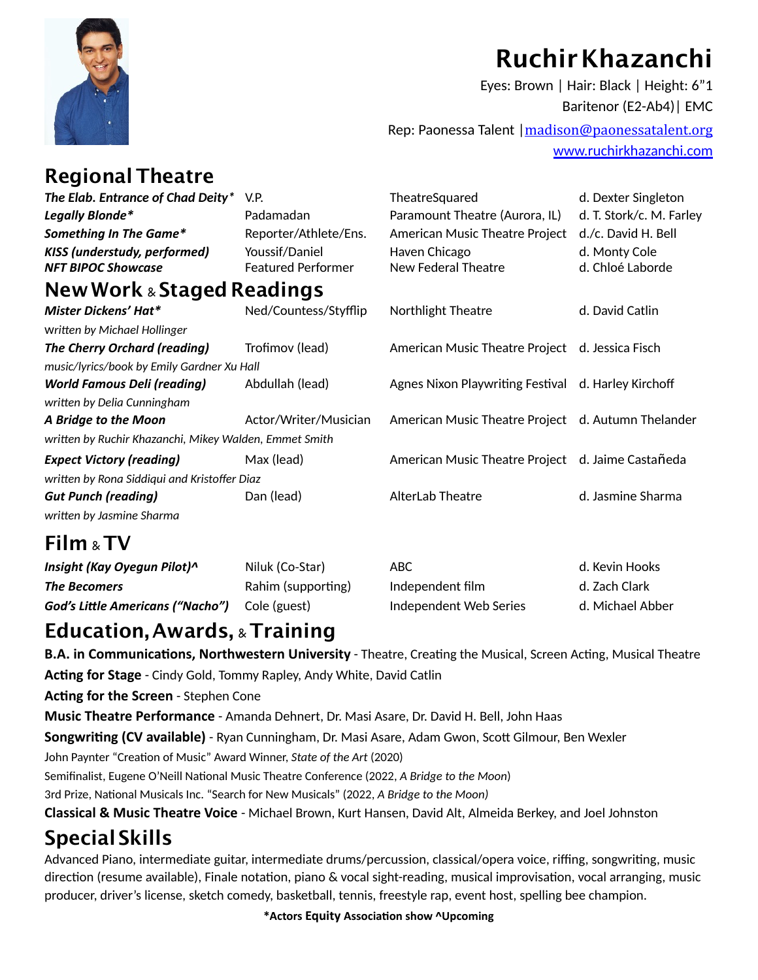

## **Ruchir Khazanchi**

Eyes: Brown | Hair: Black | Height: 6"1 Baritenor (E2-Ab4)| EMC

Rep: Paonessa Talent |[madison@paonessatalent.org](mailto:madison@paonessatalent.org) [www.ruchirkhazanchi.com](http://www.ruchirkhazanchi.com)

#### **RegionalTheatre**

| The Elab. Entrance of Chad Deity*                      | V.P.                      | TheatreSquared                                      | d. Dexter Singleton      |  |  |
|--------------------------------------------------------|---------------------------|-----------------------------------------------------|--------------------------|--|--|
| Legally Blonde*                                        | Padamadan                 | Paramount Theatre (Aurora, IL)                      | d. T. Stork/c. M. Farley |  |  |
| Something In The Game*                                 | Reporter/Athlete/Ens.     | American Music Theatre Project                      | d./c. David H. Bell      |  |  |
| KISS (understudy, performed)                           | Youssif/Daniel            | Haven Chicago                                       | d. Monty Cole            |  |  |
| <b>NFT BIPOC Showcase</b>                              | <b>Featured Performer</b> | New Federal Theatre                                 | d. Chloé Laborde         |  |  |
| <b>New Work &amp; Staged Readings</b>                  |                           |                                                     |                          |  |  |
| Mister Dickens' Hat*                                   | Ned/Countess/Styfflip     | Northlight Theatre                                  | d. David Catlin          |  |  |
| Written by Michael Hollinger                           |                           |                                                     |                          |  |  |
| <b>The Cherry Orchard (reading)</b>                    | Trofimov (lead)           | American Music Theatre Project d. Jessica Fisch     |                          |  |  |
| music/lyrics/book by Emily Gardner Xu Hall             |                           |                                                     |                          |  |  |
| <b>World Famous Deli (reading)</b>                     | Abdullah (lead)           | Agnes Nixon Playwriting Festival d. Harley Kirchoff |                          |  |  |
| written by Delia Cunningham                            |                           |                                                     |                          |  |  |
| A Bridge to the Moon                                   | Actor/Writer/Musician     | American Music Theatre Project d. Autumn Thelander  |                          |  |  |
| written by Ruchir Khazanchi, Mikey Walden, Emmet Smith |                           |                                                     |                          |  |  |
| <b>Expect Victory (reading)</b>                        | Max (lead)                | American Music Theatre Project d. Jaime Castañeda   |                          |  |  |
| written by Rona Siddiqui and Kristoffer Diaz           |                           |                                                     |                          |  |  |
| <b>Gut Punch (reading)</b>                             | Dan (lead)                | <b>AlterLab Theatre</b>                             | d. Jasmine Sharma        |  |  |
| written by Jasmine Sharma                              |                           |                                                     |                          |  |  |
| Film & TV                                              |                           |                                                     |                          |  |  |
| Insight (Kay Oyegun Pilot)^                            | Niluk (Co-Star)           | <b>ABC</b>                                          | d. Kevin Hooks           |  |  |

| <b>INDIANAL CONTROLLER CONTROLLER</b>   | $I$ $I$ $I$ $I$ $II$ $II$ $II$ $I$ $I$ $I$ $II$ $II$ $I$ $I$ $II$ $II$ $II$ $II$ | ADU.                   | <b>U. KEVILLIUUN</b> |
|-----------------------------------------|----------------------------------------------------------------------------------|------------------------|----------------------|
| <b>The Becomers</b>                     | Rahim (supporting)                                                               | Independent film       | d. Zach Clark        |
| <b>God's Little Americans ("Nacho")</b> | Cole (guest)                                                                     | Independent Web Series | d. Michael Abber     |
|                                         |                                                                                  |                        |                      |

#### **Education, Awards,** & **Training**

**B.A. in Communications, Northwestern University** - Theatre, Creating the Musical, Screen Acting, Musical Theatre Acting for Stage - Cindy Gold, Tommy Rapley, Andy White, David Catlin

Acting for the Screen - Stephen Cone

**Music Theatre Performance** - Amanda Dehnert, Dr. Masi Asare, Dr. David H. Bell, John Haas

**Songwriting (CV available)** - Ryan Cunningham, Dr. Masi Asare, Adam Gwon, Scott Gilmour, Ben Wexler

John Paynter "Creation of Music" Award Winner, *State of the Art* (2020)

Semifinalist, Eugene O'Neill National Music Theatre Conference (2022, *A Bridge to the Moon*)

3rd Prize, National Musicals Inc. "Search for New Musicals" (2022, *A Bridge to the Moon)* 

**Classical & Music Theatre Voice** - Michael Brown, Kurt Hansen, David Alt, Almeida Berkey, and Joel Johnston

### **Special Skills**

Advanced Piano, intermediate guitar, intermediate drums/percussion, classical/opera voice, riffing, songwriting, music direction (resume available), Finale notation, piano & vocal sight-reading, musical improvisation, vocal arranging, music producer, driver's license, sketch comedy, basketball, tennis, freestyle rap, event host, spelling bee champion.

\* Actors Equity Association show ^Upcoming